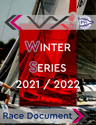

# WINTER SERIES 2021 / 2022

Race Document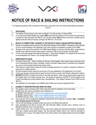





# NOTICE OF RACE & SAILING INSTRUCTIONS

The Organizing Authority (OA) is Pensacola Yacht Club in conjunction with The VXOne Class National Association (VXCA)

#### 1 RULES [NoR]

- 1.1 The regatta will be governed by the rules as defined in The Racing Rules of Sailing (RRS).
- 1.2 In any rule governing the Regatta: the notation [NP] means that any infraction to the *rule* will not be grounds for a protest by a boat (Changes rule RRS  $60.1$  (a)) and the notation [SP] Denotes a rule which a penalty may be applied by the RC without a hearing (Changes rule RRS 63.1, A4 and A5).

#### 2 NOTICE TO COMPETITORS. CHANGES TO THE NOTICE OF RACE & SAILING INSTRUCTIONS [SI]

- 2.1 Notices to Competitors will be posted on the Official Notice Board Online (ONBO). Competitors will be informed by text or email (indicated in the registration form) when a Notice to competitors is posted on the ONBO.
- 2.2 Changes to the rules will be posted on the ONBO before 0830am on the day it will take effect, except that any change to the schedule of races will be posted no later than 1900 on the day before it will take effect.
- 2.3 For an on the water change to the sailing instructions: "L" flag shall be displayed. The change will be announced on the designated VHF channel. (This changes RRS Race Signals)

#### **GREEN REGATTA [NoR]**

- 3.1 The Winter Series 2021 2022 is a Sailors for the Sea "Clean Regatta" which means that any document used by the Organizing Authority, Race Committee, Protest Committee, Measurement Committee and Competitors as a way of communication between them will be online.
- 3.2 There will be no paper format, except for Protest Committee decisions on a protest or request for redress if a party asks for a written decision.
- 3.3 All communications will be received by each boat in the way established in the Registration Form (email).
- 3.4 A boat may request a communication in paper format only if she is a party in the Protest or Request for redress.
- 3.5 [NP] [DP] Rule RRS 47 applies at all times on the water and ashore. Trash may be placed aboard support and RC Vessels while on the water and trash cans. The penalty for breaching rule RRS 47 will be decided by the Protest Committee and could be different than a disqualification. (This change Preamble of part 4 RRS and rule RRS 47)
- 3.6 All competitors are encouraged to use refillable water bottles and recycle all appropriate items.

#### 4 ELIGIBILITY, REGISTRATION AND CREW LIST [NoR]

- 4.1 The regatta is open to all boats of the VXOne class that meet the obligations of the Class Rules.
- 4.2 Eligible boats may enter by completing online registration at: #1 SERIES (December 2021) - https://www.regattanetwork.com/event/23475 #2 SERIES (January 2022) - https://www.regattanetwork.com/event/23476 #3 SERIES (February 2022) - https://www.regattanetwork.com/event/23477
- 4.3 Only boats that have completed all registration requirements will be allowed to compete. Note completed entry includes payment of entry fee.
- 4.4 The OA will acknowledge completed entries upon post on the official event web site.
- 4.5 Each participating boat shall be insured with valid third-party liability insurance with a minimum cover of \$500,000 (USD) per event or the equivalent.
- 4.6 Liability Waiver Form As a condition of entry, each owner, skipper and individual participating crewmember shall sign a liability waiver/media release. The fully executed Liability Waiver Form shall be submitted at registration prior to racing. The Liability Waiver Form will be posted on the regatta website and will be available at registration.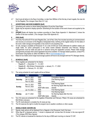





4.7 Each boat will deliver to the Race Committee, no later than 0900am of the first day of each regatta, the crew list for the Regatta (This changes Class Rule C2.1 (e)).

#### 5 ADVERTISING AND BOW NUMBERS [NoR]

- 5.1 Advertising will conform to World Sailing Regulation 20 and the Class Rules.
- 5.2 Boats may be required to display sponsors' advertising for the duration of the event chosen and supplied by the OA.
- 5.3 [DP][NP] Boats will display bow numbers according to Class Rules Appendix H. Attachment C shows the position of the bow numbers. (This changes Class Rule Appendix H)

#### 6 FEES [NoR]

- 6.1 The Entry Fee will be \$175 for each Regatta (Dec, Jan & Feb). Entry Fee includes launching at commencement and recovery at conclusion of the Regatta at designated times, berthing at the regatta harbour for the dates of the event, trailer storage and hospitality to the events for all competing crew.
- 6.2 On site, storage is available at Pensacola YC at a rate of \$100 per month (\$50/week for addition weeks) per single trailer, for active participants in the series events between December and February. Storage arrangements must be made and paid for in advance during the registration process. Please make storage arrangements promptly when online registration becomes available. For Storage related questions, contact PYC Dockmaster Greg Spitzer at: (850) 433-8804 ex 108 or dockmaster@pycfl.com
- 6.3 Rates for box trailers and/or larger boat storage systems will have to be arranged with the PYC Manager directly.

#### 7 SCHEDULE [NoR]

- 7.1 Three regattas are scheduled for the Series:
	- Regatta  $#1 \rightarrow$  December 11 12, 2021
	- Regatta #2 Mid-Winters Championship  $\rightarrow$  January 15 17, 2022
	- Regatta  $#3 \rightarrow$  February 19 20, 2022
- 7.2 The racing schedule for each regatta will be as follows:

| <b>DAY</b>    | <b>DATE</b>                  | TIME(s)          | <b>EVENT</b>                      |
|---------------|------------------------------|------------------|-----------------------------------|
| Saturday      | Dec 11, 2021                 | 0845             | <b>Competitors Meeting</b>        |
|               | Jan 15, 2022                 | 1055             | <b>First Warning Signal</b>       |
|               | Feb 19, 2022                 | 1800             | Party                             |
| <b>Sunday</b> | Dec 12, 2021<br>Feb 20, 2022 | 0955             | <b>First Warning Signal</b>       |
|               |                              | 1430             | No Warning Signal after this time |
|               |                              | ASAP after races | Awards                            |
|               | Jan 16, 2022 $\rightarrow$   | 0955             | <b>First Warning Signal</b>       |
| <b>Monday</b> | Jan 17, 2022                 | 0955             | <b>First Warning Signal</b>       |
|               |                              | 1430             | No Warning Signal after this time |
|               |                              | ASAP after races | Awards                            |

- 7.3 Ten (10) races are scheduled for the regattas of December and February. Fifteen (15) races are scheduled for Mid-Winters (January).
- 7.4 The RC shall attempt to complete five (5) races per day.
- 7.5 The OA reserves the right to modify the program due to weather conditions or other causes.

#### 8 SIGNALS MADE ASHORE [SI]

- 8.1 Signals made ashore will be displayed from a flagpole in the Pensacola Yacht Club lawn.
- 8.2 When flag AP is displayed ashore, '1 minute' is replaced with 'not less than 30 minutes' in the race signal AP. (This changes RRS Race Signals)
- 8.3 The RC intends to broadcast its intentions for the day at 0900 each morning on channel 72 VHF.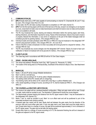





#### COMMUNICATION [SI]

- 9.1 **IDPI** All boats shall carry a VHF radio capable of communicating on channel 72. Channels 68, 69, and 71 may be used. (This changes Class Rule C5.2 (3))
- 9.2 On the water, the RC will make courtesy broadcasts to competitors on VHF radio channel 72.
- 9.3 **[DP]** From the first warning signal until the end of the last race of the day, except in an emergency or as required by a rule, a boat shall not make voice nor data transmissions and shall not receive voice nor data communication that is not available to all boats.
- 9.4 The RC may broadcast the course, bearing and distance information before the warning signal, start times, starting infractions, and information important to racing. Failure of the transmission, failure of any boat to receive or properly interpret this information, or any errors or omissions on the part of the hailed messages shall not constitute grounds for granting redress. (This changes RRS 62.1(a))
- 9.5 Individual recalls and boats penalized under RRS 30.2 or RRS 30.3 may be broadcast on the designated VHF channel using bow/sail numbers. (This changes RRS 29.1, 30.2 and 30.3)
- 9.6 Failure of the RC to make a broadcast or to time it accurately will not be grounds for a request for redress. (This changes RRS 62.1(a))
- 9.7 The RC may broadcast any course changes over the designated VHF channel. Failure of a boat to hear such notification or failure to broadcast will not be grounds for redress. (This changes RRS 62.1(a))

#### 10 CLASS FLAG [SI]

10.1 The Class flag used in accordance with RRS 26 will be VX One Class Insignia.

#### 11 VENUE – RACING AREA [NoR]

- 11.1 The venue host address: Pensacola Yacht Club, 1897 Cypress St., Pensacola, FL 32502.
- 11.2 The location of the racing area is on Pensacola Bay, Southeast of the entrance to Bayou Chico. See Attachment A.

#### 12 MARKS [SI]

- 12.1 Marks 1, 2S and 2P will be orange inflatable tetrahedrons
- 12.2 Mark 1a will be a red ball buoy.
- 12.3 New marks used according to SI 15 will be yellow inflatable tetrahedron.
- 12.4 The starting marks will be RC vessels with an orange flag.
- 12.5 The finishing marks will be either an RC vessel with a blue flag or a yellow inflatable mark.
- 12.6 A RC vessel signalling a change of course, according to SI 15, shall be treated per RRS 31. (This Changes rule RRS 31)

#### 13 THE COURSES and WEATHER LIMITATION [SI]

- 13.1 The course to be sailed will be a windward-leeward configuration. Offset and gate marks will be used. Except in a gate, marks shall be rounded to port. The illustration in Attachment B shows the course diagram.
- 13.2 The approximate compass bearing and distance from the RC signal vessel to Mark 1 may be broadcasted on the designated VHF channel (72).
- 13.3 Marks 1 and 1a, shall be rounded to port. Mark 1a is an offset mark and will be positioned to port of the associated windward mark (looking upwind).
- 13.4 A leeward gate (two marks) will be used. Boats shall sail between the gate marks from the direction of the previous mark and round either gate mark. If only one gate mark is set, boats shall round the single mark to port. Except when there is a change of course, the gate will be positioned approximately 0.1nm to windward of the RC signal vessel. The gate may be laid after the starting signal.
- 13.5 Except when there is a change of course according to SI 15, the downwind finishing line will be to leeward of the gate and adjacent to the RC signal vessel.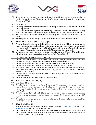





13.6 Races shall not be started when the average wind speed is below 4 knots or exceeds 25 knots. If during the race the wind speed goes over 25 knots for more than 3 consecutive minutes the race shall be abandoned. (This changes RRS 32.1)

#### 14 THE START [SI]

- 14.1 The starting line will be between the staffs displaying orange flags on the port end RC line vessel and starboard end RC signal vessel.
- 14.2 To alert boats that a race will begin soon, an ORANGE flag will be displayed at least 3 minutes before a warning signal is displayed. This flag will be removed approximately 5 minutes after a valid start with no sound signal.
- 14.3 [SP] A boat starting later than five (5) minutes after her starting signal will be scored Did Not Start without a hearing.
- 14.4 RRS 30.4 (Black Flag Rule) is changed to permit the RC to display bow number and/or sail number.

#### 15 CHANGE OF THE NEXT LEG OF THE COURSE [SI]

- 15.1 To change the next leg of the course, the RC will lay a new mark (or move the finishing line) and remove the original mark as soon as practicable. When in a subsequent change a new mark is replaced, it will be replaced by an original mark. At the weather mark, the RC will make every effort to set an offset mark with a change mark; however, if it is absent, proceed to the next mark of the course from the weather mark.
- 15.2 Any adjustment of any leg of the course, while boats are racing, by moving mark(s) up to 005° in bearing and/or 0.2 nm in length will not be considered a change of course. (This changes RRS 33)

#### 16 THE FINISH, TIME LIMITS AND TARGET TIMES [SI]

- 16.1 The finishing line will be between a staff displaying a blue flag on the finishing line vessel and a staff displaying a blue flag on a nearby RC vessel, or the course side of a nearby yellow inflatable mark.
- 16.2 The time limit for the first boat to sail the course and finish a race will be 2 hours after her start.
- 16.3 The time limit for the first boat to round Mark 1 for the first time after the start is 30 minutes.
- 16.4 Boats failing to finish within 30 minutes after the first boat sails the course and finishes, and not thereafter retiring, being penalized, or given redress, will be scored TLE (Time Limit Expired, see Scoring). (This changes RRS 35, A5.1, A5.2 and A10)
- 16.5 The target time for races is 45 to 60 minutes. Failure to meet the target time will not be grounds for redress. (This changes RRS 62.1(a))
- 16.6 Flag A displayed at the finish vessel means "no more racing today."

#### 17 PENALTY SYSTEM and RULE 42 [NoR]

- 17.1 Appendix V and T will apply.
- 17.2 Rule V1 is changed as follows: The first two sentences of rule 44.1 are changed to: 'A boat may take a One-Turn Penalty when she may have broken a rule of Part 2 or rule 31 while racing. However, when she may have broken a rule of Part 2 while in the zone around a mark other than a starting mark, her penalty shall be a Two-Turns Penalty.'
- 17.3 Unless the course is shortened to finish at the windward mark, penalties while in the zone of the windward mark or on the offset leg may be delayed and taken as soon as possible on the downwind leg. (This changes RRS 44.2.)
- 17.4 Unlimited trimming and easing of the asymmetrical gennaker to promote a plane shall be permitted. (This Class Rule changes RRS 42.2 (a))

#### 18 HEARING REQUESTS [SI]

- 18.1 Hearing requests shall be filled by using the online form that can be found: [Protest Form](https://support.google.com/drive/answer/6283888) (PC Secretary Email: sdpyc@outlook.com) within the appropriate Time Limit.
- 18.2 The Protest Time Limit (PTL) shall be seventy five (75) minutes after the last boat has finished the last race of the day or the RC signals no more racing today, whichever is later. The resulting time will be posted at the Official Notice Board Online. (This changes RRS 61.3)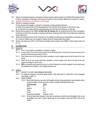





18.3 Notices of scheduled protests or requests for redress hearings will be posted on the Official Notice Board Online to inform competitors of hearings in which they are parties or may be parties affected by a request for redress.

18.4 USSailing Prescription to rule RRS 63.2 will not apply.

18.5 RRS 66 is changed as follows:

On the last day of the regatta, a request for reopening a hearing shall be delivered:

(a) within the protest time limit if the requesting party was informed of the decision on the previous day.

(b) no later than 30 minutes after the requesting party was informed of the decision on that day.

- 18.6 Notices will be posted on the ONBO not later than 30 minutes after the protest time limit to inform competitors of hearings in which they are parties or named as witnesses. Hearings will be held in the protest room, beginning at the posted time.
- 18.7 Within the protest time limit, the RC shall post on the ONBO the boats that are disqualified or penalized under A5. A boat so notified may only request for redress within 30 minutes after that posting.
- 18.8 Notices of protests by the RC or the Protest Committee will be posted on the ONBO to inform boats under rule 61.1 b).

#### 19 SCORING [NoR]

#### 19.1 REGATTA

- 19.1.1 One (1) race shall be completed to constitute a regatta.
- 19.1.2 A boat scored TLE shall be scored points for her finishing place 2 more than the points scored by the last boat that finished according to SI16.4.
- 19.1.3 When fewer than six (6) races have been completed, a boat's regatta score will be the total of her race scores.
- 19.1.4 When six (6) or more races have been completed, a boat's regatta score will be the total of her race scores excluding her worst score.
- 19.1.5 **[DP]** Any penalty points given by the jury is at their discretion but shall be applied to the overall score and therefore not excluded. (This changes Appendix A)

#### 19.2 SERIES

- 19.2.1 RACES TO COUNT AND MINIMUM REQUIRED
- 19.2.1.1 To qualify for inclusion in the final series results a boat shall start in at least 50% of the completed races listed in NoR 7.3.
- 19.2.2 RACE SCORES
	- 19.2.2.1 Each boat finishing a race and not thereafter retiring, being penalized or given redress will be scored as follows, where N are the number of boats that finished each race:

| Finishing place       | Points           |
|-----------------------|------------------|
| First                 | N                |
| Second                | N-1              |
| <b>Third</b>          | $N-2$            |
| Fourth                | N-3              |
| Each place thereafter | Subtract 1 point |

19.2.3 All other boats that compete in that race, including any that finish and thereafter retire or are disqualified, will score 0 points. Boats that do not compete in that race (DNC) will not be scored.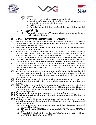





#### 19.3 SERIES SCORES

- 19.3.1 The series score for each boat will be a percentage calculated as follows:
	- a) Divide the sum of her race scores by the sum of the points she would have scored if she had placed first in every race in which she competed.
	- b) Multiply the result by 100.
	- c) The qualified boat with the highest Series Score is the winner and others are ranked accordingly.
- 19.4 TIES AND OTHER RULES
	- 19.4.1 Race ties will be scored using rule A7. Series ties will be broken using rule A8.1. Rules A1, A3, A5, A6, A9 and A10 also apply.

#### 20 SAFETY AND SUPPORT PERSON / SUPPORT VESSEL REGULATIONS [NoR]

- 20.1 **[DP]** Before the first warning signal of each day, all boats shall sail past the stern of the RC Signal Vessel on starboard tack and check in by hailing their sail/bow number. They shall continue to do so until their sail/bow number is verbally acknowledged by the RC.
- 20.2 **[DP] [NP] [SP]** A boat that retires from a race shall notify the RC before leaving the course area or immediately after arriving ashore via radio contact from PYC.
- 20.3 All competitors shall wear, while on the water, other than brief periods while adding or removing clothing, an approved US Coast Guard PFD that depends 100% on foam for flotation that is the appropriate size for the sailor with no modification. The PFD must be worn outside of all clothing, except that a thin shirt may be worn over the PFD to prevent snagging. (This Changes the preamble to Part 4, rule RRS 40 and Race Signals).
- 20.4 Each support vessel shall have a working VHF radio and monitor the radio, an anchor suitable for anchoring in the waiting area, a basic first aid kit and a kill-cord attached to the driver at all times while on the water.
- 20.5 [SP] No drones are allowed closer than 500 meters from racing areas from the Warning Signal for a race and after the last boat has finished the race. As a penalty for breaching this rule the protest committee may impose a discretionary penalty to all boats associated with the owner / operator of the drone. This rule does not apply to the OA drones.
- 20.6 Support persons and Support Vessels shall register with the race office during registration times. They shall declare which boat or boats to which they are attached. Support persons and support vessels shall declare proof of insurance and provide photo ID of the driver. Vessels shall comply with local laws and regulations regarding their operation.
- 20.7 Under all circumstances, coaches and other support vessels are expected to assist any boat in danger.
- 20.8 Coach and support boats shall display a flag, or other identification symbol, as may be required by the race committee.
- 20.9 **[DP] [NP]** Team leaders, coaches and other support personnel shall be outside of the racing area described in SI 20.10 and 20.11 from the Preparatory Signal until the last boat finishes the last race or the RC displays a postponement, general recall or abandonment signal, unless they are helping a boat in danger. Breaking this rule will be penalized by the Jury.
- 20.10 The racing area is defined as a surface which borders are over 100 meters from the laylines.
- 20.11 The starting area is a rectangle with its borders 100 meters to windward and leeward and 100 meters to pin ends of the starting line.
- 20.12 A boat and its crew shall at all times keep clear of all commercial vessels and shall not maneuver in any manner which would cause a commercial vessel to be unable to sail their proper course or carry out their commercial functions in a normal manner.
	- 20.12.1 A boat whose actions or maneuvers result in a Danger Signal (5 Horns or Sounds) from a commercial vessel, shall be protested.
	- 20.12.2 **[NP]** A boat in violation of SI 20.12 can only be protested by the RC. (This Changes RRS 60.1 and 60.3)
	- 20.12.3 The penalty for breaking this SI 20.12 shall be disqualification from the entire regatta in which case rule RRS 36 will not apply. (This changes RRS 36)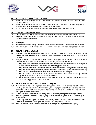





#### 21 REPLACEMENT OF CREW OR EQUIPMENT [SI]

- 21.1 Substitution of competitors will not be allowed without prior written approval of the Race Committee. (This changes Class Rule C2.1 (b))
- 21.2 Substitution of equipment will not be allowed unless authorized by the Race Committee. Requests for substitution shall be made to the RC at the first reasonable opportunity.
- 21.3 Any substitution granted via SI 21.1 or 21.2 will be posted on the Official Notice Board Online.

#### 22 LAUNCHING AND BERTHING [NoR]

- 22.1 The PYC hoist and launch ramp will be available on demand. Please coordinate with fellow competitors.
- 22.2 **[DP]** Except when sailing, boats may be kept in an assigned docks in the PYC harbour or hauled out. Fenders and mooring lines may be required.

#### 23 PRIZES [NoR]

- 23.1 Prizes will be awarded to the top 3 finishers in each regatta, as well as the top 3 overall finishers in the series.
- 23.2 Class Winter Series Perpetual Trophy may also be awarded to the series winner depending on class tradition.

#### 24 DISCLAIMER OF LIABILITY [NoR]

- 24.1 Competitors participate in the event entirely at their own risk. See RRS 3, Decision to Race. The OA will not accept any liability for material damage or personal injury or death sustained in conjunction with or prior to, during, or after the regatta.
- 24.2 Sailing is by its nature an unpredictable sport and therefore inherently involves an element of risk. By taking part in the Series, each competitor, and the responsible adult, if any, agree and acknowledges that:
	- a) They are aware of the inherent element of risk involved in the sport and accept responsibility for the exposure of themselves and their boat to such inherent risk whilst taking part in the event;
	- b) They are responsible for the safety of themselves, their boat and their other property whether afloat or ashore;
	- c) They accept responsibility for any injury, damage or loss to the extent caused by their own actions or omission;
	- d) Their boat is in good order, equipped to sail in the event and they are fit to participate;
	- e) The provision of a race management team, patrol boats and other officials and volunteers by the event organizer does not relieve them of their own responsibilities;
	- f) The provision of patrol boat cover is limited to such assistance, particularly in extreme weather conditions, as can be practically provided in the circumstances.

#### 25 MEDIA RIGHTS AND MEDIA VESSELS REGULATIONS [NoR]

- 25.1 By participating in this event, competitors automatically grant to the OA and the event sponsors the right, in perpetuity, to make, use, and show, at their discretion, any photography, audio and video recording, and other reproductions of them made at the venue or on the water from the time of their arrival at the venue, until their final departure, without compensation.
- 25.2 All Press and official spectator boats shall be registered by the race organizing authority during registration.
- 25.3 Press and spectator vessels shall display any flag, or other identification symbol as may be required by the Race Committee.
- 25.4 The race organizers may appoint one or more photo vessels, which will be allowed within the race course. The position of these boats shall not be grounds for redress. (This changes rule RRS 62.1)
- 25.5 Press and spectator vessels shall not interfere with boats racing or the Regatta Direction in any way.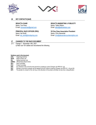





#### 26 KEY CONTACTS [NoR]

Name: Tom Pace Name: Talbot Wilson E-mail: tomracechair@gmail.com Email: talbot@talbotwilson.com

# Name: Hal Smith Name: Chris Alexander

# REGATTA CHAIR **REGATTA MARKETING & PUBLICITY**

PRINCIPAL RACE OFFICER (PRO) VX One Class Association President Email: hal\_smith@mindspring.com Email: chris@alexandercounterwrights.com

#### 27 CHANGES TO THE RACE DOCUMENT

27.1 Change 1 - November 14th, 2021 a) New rule 18.4 added and renumbered the following

### **Notations used in this document:**<br>[OA] Organizing Authority

- [OA] Organizing Authority<br>[NoR] Notice of Race rule
- Notice of Race rule
- [SI] Sailing Instruction rule<br>[ONBO] Official Notice Board O
- **[ONBO]** Official Notice Board Online<br>**[RC]** Race Committee
- **[RC]** Race Committee<br>**[PC]** Protest Committe
- **[PC]** Protest Committee<br> **[NP]** Any infraction to the
- 
- [NP] Any infraction to the rule will not be ground for a protest by a boat (Changes rule RRS 60.1 (a))<br>[SP] Denotes a rule which a penalty may be applied by the RC without a hearing (Changes rule RRS<br>[DP] The penalty for a Denotes a rule which a penalty may be applied by the RC without a hearing (Changes rule RRS 63.1, A4 and A5).
- The penalty for a breach of the rule may, at the discretion of the protest committee, be less than a disqualification.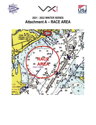





# 2021 - 2022 WINTER SERIES Attachment A – RACE AREA

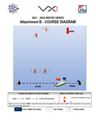





## 2021 – 2022 WINTER SERIES Attachment B - COURSE DIAGRAM

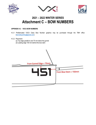





# 2021 – 2022 WINTER SERIES Attachment C – BOW NUMBERS

#### APPENDIX H.3 VXCA BOW NUMBERS

- H.3.1 Prefabricated VXCA Class Bow Number graphics may be purchased through the TMH office (bennettyachting@gmail.com)
- H.3.2 Placement
	- (a) Top edge parallel to and 75 mm below the gunnel
	- (d) Leading edge 150 mm behind the bow stem